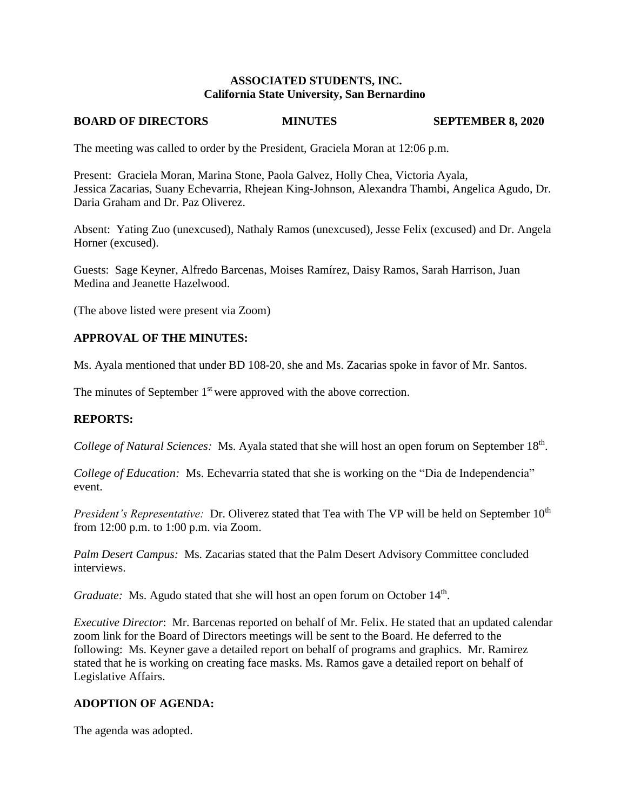## **ASSOCIATED STUDENTS, INC. California State University, San Bernardino**

### **BOARD OF DIRECTORS MINUTES SEPTEMBER 8, 2020**

The meeting was called to order by the President, Graciela Moran at 12:06 p.m.

Present: Graciela Moran, Marina Stone, Paola Galvez, Holly Chea, Victoria Ayala, Jessica Zacarias, Suany Echevarria, Rhejean King-Johnson, Alexandra Thambi, Angelica Agudo, Dr. Daria Graham and Dr. Paz Oliverez.

Absent: Yating Zuo (unexcused), Nathaly Ramos (unexcused), Jesse Felix (excused) and Dr. Angela Horner (excused).

Guests: Sage Keyner, Alfredo Barcenas, Moises Ramírez, Daisy Ramos, Sarah Harrison, Juan Medina and Jeanette Hazelwood.

(The above listed were present via Zoom)

## **APPROVAL OF THE MINUTES:**

Ms. Ayala mentioned that under BD 108-20, she and Ms. Zacarias spoke in favor of Mr. Santos.

The minutes of September 1<sup>st</sup> were approved with the above correction.

### **REPORTS:**

College of Natural Sciences: Ms. Ayala stated that she will host an open forum on September 18<sup>th</sup>.

*College of Education:* Ms. Echevarria stated that she is working on the "Dia de Independencia" event.

*President's Representative:* Dr. Oliverez stated that Tea with The VP will be held on September 10<sup>th</sup> from 12:00 p.m. to 1:00 p.m. via Zoom.

*Palm Desert Campus:* Ms. Zacarias stated that the Palm Desert Advisory Committee concluded interviews.

Graduate: Ms. Agudo stated that she will host an open forum on October 14<sup>th</sup>.

*Executive Director*: Mr. Barcenas reported on behalf of Mr. Felix. He stated that an updated calendar zoom link for the Board of Directors meetings will be sent to the Board. He deferred to the following: Ms. Keyner gave a detailed report on behalf of programs and graphics. Mr. Ramirez stated that he is working on creating face masks. Ms. Ramos gave a detailed report on behalf of Legislative Affairs.

## **ADOPTION OF AGENDA:**

The agenda was adopted.